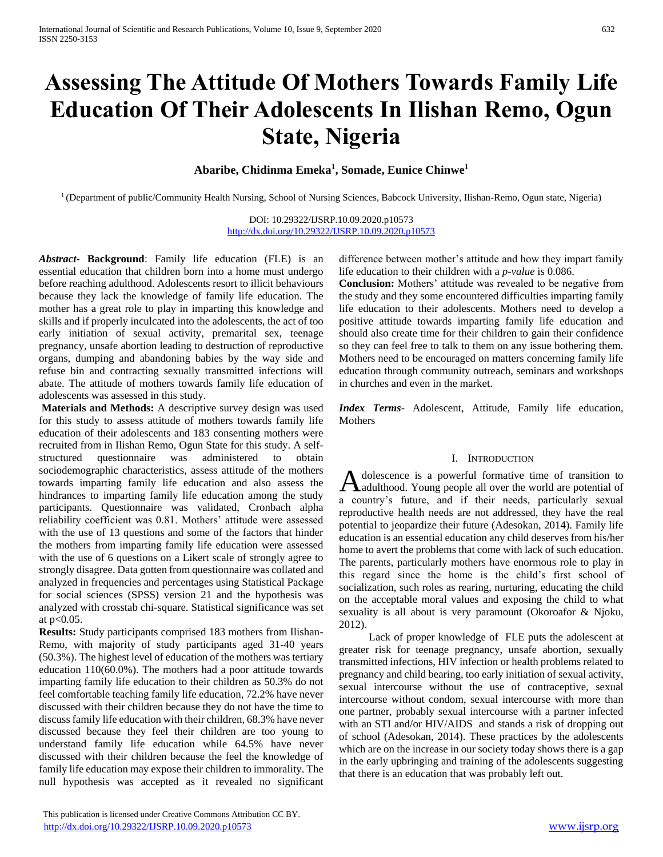# **Assessing The Attitude Of Mothers Towards Family Life Education Of Their Adolescents In Ilishan Remo, Ogun State, Nigeria**

# **Abaribe, Chidinma Emeka<sup>1</sup> , Somade, Eunice Chinwe<sup>1</sup>**

<sup>1</sup> (Department of public/Community Health Nursing, School of Nursing Sciences, Babcock University, Ilishan-Remo, Ogun state, Nigeria)

DOI: 10.29322/IJSRP.10.09.2020.p10573 <http://dx.doi.org/10.29322/IJSRP.10.09.2020.p10573>

*Abstract***- Background**: Family life education (FLE) is an essential education that children born into a home must undergo before reaching adulthood. Adolescents resort to illicit behaviours because they lack the knowledge of family life education. The mother has a great role to play in imparting this knowledge and skills and if properly inculcated into the adolescents, the act of too early initiation of sexual activity, premarital sex, teenage pregnancy, unsafe abortion leading to destruction of reproductive organs, dumping and abandoning babies by the way side and refuse bin and contracting sexually transmitted infections will abate. The attitude of mothers towards family life education of adolescents was assessed in this study.

**Materials and Methods:** A descriptive survey design was used for this study to assess attitude of mothers towards family life education of their adolescents and 183 consenting mothers were recruited from in Ilishan Remo, Ogun State for this study. A selfstructured questionnaire was administered to obtain sociodemographic characteristics, assess attitude of the mothers towards imparting family life education and also assess the hindrances to imparting family life education among the study participants. Questionnaire was validated, Cronbach alpha reliability coefficient was 0.81. Mothers' attitude were assessed with the use of 13 questions and some of the factors that hinder the mothers from imparting family life education were assessed with the use of 6 questions on a Likert scale of strongly agree to strongly disagree. Data gotten from questionnaire was collated and analyzed in frequencies and percentages using Statistical Package for social sciences (SPSS) version 21 and the hypothesis was analyzed with crosstab chi-square. Statistical significance was set at  $p<0.05$ .

**Results:** Study participants comprised 183 mothers from Ilishan-Remo, with majority of study participants aged 31-40 years (50.3%). The highest level of education of the mothers was tertiary education 110(60.0%). The mothers had a poor attitude towards imparting family life education to their children as 50.3% do not feel comfortable teaching family life education, 72.2% have never discussed with their children because they do not have the time to discuss family life education with their children, 68.3% have never discussed because they feel their children are too young to understand family life education while 64.5% have never discussed with their children because the feel the knowledge of family life education may expose their children to immorality. The null hypothesis was accepted as it revealed no significant difference between mother's attitude and how they impart family life education to their children with a *p-value* is 0.086.

**Conclusion:** Mothers' attitude was revealed to be negative from the study and they some encountered difficulties imparting family life education to their adolescents. Mothers need to develop a positive attitude towards imparting family life education and should also create time for their children to gain their confidence so they can feel free to talk to them on any issue bothering them. Mothers need to be encouraged on matters concerning family life education through community outreach, seminars and workshops in churches and even in the market.

*Index Terms*- Adolescent, Attitude, Family life education, Mothers

## I. INTRODUCTION

dolescence is a powerful formative time of transition to Adolescence is a powerful formative time of transition to adulthood. Young people all over the world are potential of a country's future, and if their needs, particularly sexual reproductive health needs are not addressed, they have the real potential to jeopardize their future (Adesokan, 2014). Family life education is an essential education any child deserves from his/her home to avert the problems that come with lack of such education. The parents, particularly mothers have enormous role to play in this regard since the home is the child's first school of socialization, such roles as rearing, nurturing, educating the child on the acceptable moral values and exposing the child to what sexuality is all about is very paramount (Okoroafor & Njoku, 2012).

 Lack of proper knowledge of FLE puts the adolescent at greater risk for teenage pregnancy, unsafe abortion, sexually transmitted infections, HIV infection or health problems related to pregnancy and child bearing, too early initiation of sexual activity, sexual intercourse without the use of contraceptive, sexual intercourse without condom, sexual intercourse with more than one partner, probably sexual intercourse with a partner infected with an STI and/or HIV/AIDS and stands a risk of dropping out of school (Adesokan, 2014). These practices by the adolescents which are on the increase in our society today shows there is a gap in the early upbringing and training of the adolescents suggesting that there is an education that was probably left out.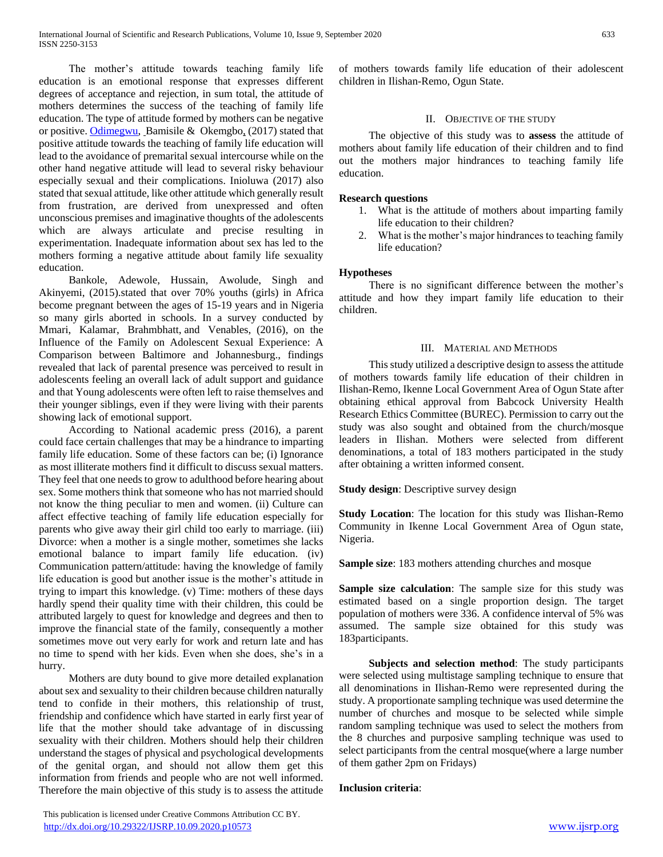The mother's attitude towards teaching family life education is an emotional response that expresses different degrees of acceptance and rejection, in sum total, the attitude of mothers determines the success of the teaching of family life education. The type of attitude formed by mothers can be negative or positive. [Odimegwu,](https://www.tandfonline.com/author/Odimegwu%2C+Clifford+Obby) Bamisile & Okemgbo, (2017) stated that positive attitude towards the teaching of family life education will lead to the avoidance of premarital sexual intercourse while on the other hand negative attitude will lead to several risky behaviour especially sexual and their complications. Inioluwa (2017) also stated that sexual attitude, like other attitude which generally result from frustration, are derived from unexpressed and often unconscious premises and imaginative thoughts of the adolescents which are always articulate and precise resulting in experimentation. Inadequate information about sex has led to the mothers forming a negative attitude about family life sexuality education.

 Bankole, Adewole, Hussain, Awolude, Singh and Akinyemi, (2015).stated that over 70% youths (girls) in Africa become pregnant between the ages of 15-19 years and in Nigeria so many girls aborted in schools. In a survey conducted by Mmari, Kalamar, Brahmbhatt, and Venables, (2016), on the Influence of the Family on Adolescent Sexual Experience: A Comparison between Baltimore and Johannesburg., findings revealed that lack of parental presence was perceived to result in adolescents feeling an overall lack of adult support and guidance and that Young adolescents were often left to raise themselves and their younger siblings, even if they were living with their parents showing lack of emotional support.

 According to National academic press (2016), a parent could face certain challenges that may be a hindrance to imparting family life education. Some of these factors can be; (i) Ignorance as most illiterate mothers find it difficult to discuss sexual matters. They feel that one needs to grow to adulthood before hearing about sex. Some mothers think that someone who has not married should not know the thing peculiar to men and women. (ii) Culture can affect effective teaching of family life education especially for parents who give away their girl child too early to marriage. (iii) Divorce: when a mother is a single mother, sometimes she lacks emotional balance to impart family life education. (iv) Communication pattern/attitude: having the knowledge of family life education is good but another issue is the mother's attitude in trying to impart this knowledge. (v) Time: mothers of these days hardly spend their quality time with their children, this could be attributed largely to quest for knowledge and degrees and then to improve the financial state of the family, consequently a mother sometimes move out very early for work and return late and has no time to spend with her kids. Even when she does, she's in a hurry.

 Mothers are duty bound to give more detailed explanation about sex and sexuality to their children because children naturally tend to confide in their mothers, this relationship of trust, friendship and confidence which have started in early first year of life that the mother should take advantage of in discussing sexuality with their children. Mothers should help their children understand the stages of physical and psychological developments of the genital organ, and should not allow them get this information from friends and people who are not well informed. Therefore the main objective of this study is to assess the attitude of mothers towards family life education of their adolescent children in Ilishan-Remo, Ogun State.

# II. OBJECTIVE OF THE STUDY

 The objective of this study was to **assess** the attitude of mothers about family life education of their children and to find out the mothers major hindrances to teaching family life education.

# **Research questions**

- 1. What is the attitude of mothers about imparting family life education to their children?
- 2. What is the mother's major hindrances to teaching family life education?

# **Hypotheses**

 There is no significant difference between the mother's attitude and how they impart family life education to their children.

# III. MATERIAL AND METHODS

 This study utilized a descriptive design to assess the attitude of mothers towards family life education of their children in Ilishan-Remo, Ikenne Local Government Area of Ogun State after obtaining ethical approval from Babcock University Health Research Ethics Committee (BUREC). Permission to carry out the study was also sought and obtained from the church/mosque leaders in Ilishan. Mothers were selected from different denominations, a total of 183 mothers participated in the study after obtaining a written informed consent.

**Study design**: Descriptive survey design

**Study Location**: The location for this study was Ilishan-Remo Community in Ikenne Local Government Area of Ogun state, Nigeria.

**Sample size**: 183 mothers attending churches and mosque

**Sample size calculation**: The sample size for this study was estimated based on a single proportion design. The target population of mothers were 336. A confidence interval of 5% was assumed. The sample size obtained for this study was 183participants.

 **Subjects and selection method**: The study participants were selected using multistage sampling technique to ensure that all denominations in Ilishan-Remo were represented during the study. A proportionate sampling technique was used determine the number of churches and mosque to be selected while simple random sampling technique was used to select the mothers from the 8 churches and purposive sampling technique was used to select participants from the central mosque(where a large number of them gather 2pm on Fridays)

## **Inclusion criteria**:

 This publication is licensed under Creative Commons Attribution CC BY. <http://dx.doi.org/10.29322/IJSRP.10.09.2020.p10573> [www.ijsrp.org](http://ijsrp.org/)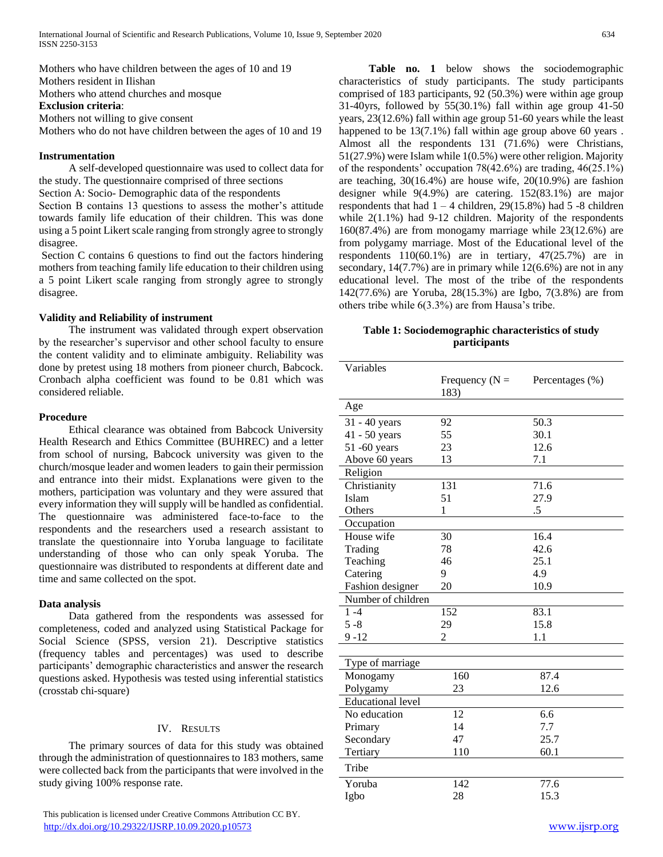Mothers who have children between the ages of 10 and 19 Mothers resident in Ilishan

Mothers who attend churches and mosque

**Exclusion criteria**:

Mothers not willing to give consent

Mothers who do not have children between the ages of 10 and 19

#### **Instrumentation**

 A self-developed questionnaire was used to collect data for the study. The questionnaire comprised of three sections Section A: Socio- Demographic data of the respondents

Section B contains 13 questions to assess the mother's attitude towards family life education of their children. This was done using a 5 point Likert scale ranging from strongly agree to strongly disagree.

Section C contains 6 questions to find out the factors hindering mothers from teaching family life education to their children using a 5 point Likert scale ranging from strongly agree to strongly disagree.

## **Validity and Reliability of instrument**

 The instrument was validated through expert observation by the researcher's supervisor and other school faculty to ensure the content validity and to eliminate ambiguity. Reliability was done by pretest using 18 mothers from pioneer church, Babcock. Cronbach alpha coefficient was found to be 0.81 which was considered reliable.

# **Procedure**

 Ethical clearance was obtained from Babcock University Health Research and Ethics Committee (BUHREC) and a letter from school of nursing, Babcock university was given to the church/mosque leader and women leaders to gain their permission and entrance into their midst. Explanations were given to the mothers, participation was voluntary and they were assured that every information they will supply will be handled as confidential. The questionnaire was administered face-to-face to the respondents and the researchers used a research assistant to translate the questionnaire into Yoruba language to facilitate understanding of those who can only speak Yoruba. The questionnaire was distributed to respondents at different date and time and same collected on the spot.

## **Data analysis**

 Data gathered from the respondents was assessed for completeness, coded and analyzed using Statistical Package for Social Science (SPSS, version 21). Descriptive statistics (frequency tables and percentages) was used to describe participants' demographic characteristics and answer the research questions asked. Hypothesis was tested using inferential statistics (crosstab chi-square)

## IV. RESULTS

 The primary sources of data for this study was obtained through the administration of questionnaires to 183 mothers, same were collected back from the participants that were involved in the study giving 100% response rate.

 **Table no. 1** below shows the sociodemographic characteristics of study participants. The study participants comprised of 183 participants, 92 (50.3%) were within age group 31-40yrs, followed by 55(30.1%) fall within age group 41-50 years, 23(12.6%) fall within age group 51-60 years while the least happened to be  $13(7.1\%)$  fall within age group above 60 years. Almost all the respondents 131 (71.6%) were Christians, 51(27.9%) were Islam while 1(0.5%) were other religion. Majority of the respondents' occupation 78(42.6%) are trading, 46(25.1%) are teaching, 30(16.4%) are house wife, 20(10.9%) are fashion designer while 9(4.9%) are catering. 152(83.1%) are major respondents that had  $1 - 4$  children, 29(15.8%) had 5 -8 children while 2(1.1%) had 9-12 children. Majority of the respondents 160(87.4%) are from monogamy marriage while 23(12.6%) are from polygamy marriage. Most of the Educational level of the respondents 110(60.1%) are in tertiary, 47(25.7%) are in secondary, 14(7.7%) are in primary while 12(6.6%) are not in any educational level. The most of the tribe of the respondents 142(77.6%) are Yoruba, 28(15.3%) are Igbo, 7(3.8%) are from others tribe while 6(3.3%) are from Hausa's tribe.

# **Table 1: Sociodemographic characteristics of study participants**

| Variables                |                           |                 |
|--------------------------|---------------------------|-----------------|
|                          | Frequency ( $N =$<br>183) | Percentages (%) |
| Age                      |                           |                 |
| 31 - 40 years            | 92                        | 50.3            |
| 41 - 50 years            | 55                        | 30.1            |
| 51 -60 years             | 23                        | 12.6            |
| Above 60 years           | 13                        | 7.1             |
| Religion                 |                           |                 |
| Christianity             | 131                       | 71.6            |
| Islam                    | 51                        | 27.9            |
| Others                   | 1                         | .5              |
| Occupation               |                           |                 |
| House wife               | 30                        | 16.4            |
| Trading                  | 78                        | 42.6            |
| Teaching                 | 46                        | 25.1            |
| Catering                 | 9                         | 4.9             |
| Fashion designer         | 20                        | 10.9            |
| Number of children       |                           |                 |
| $1 - 4$                  | 152                       | 83.1            |
| $5 - 8$                  | 29                        | 15.8            |
| $9 - 12$                 | $\overline{2}$            | 1.1             |
|                          |                           |                 |
| Type of marriage         |                           |                 |
| Monogamy                 | 160                       | 87.4            |
| Polygamy                 | 23                        | 12.6            |
| <b>Educational level</b> |                           |                 |
| No education             | 12                        | 6.6             |
| Primary                  | 14                        | 7.7             |
| Secondary                | 47                        | 25.7            |
| Tertiary                 | 110                       | 60.1            |
| Tribe                    |                           |                 |
| Yoruba                   | 142                       | 77.6            |
| Igbo                     | 28                        | 15.3            |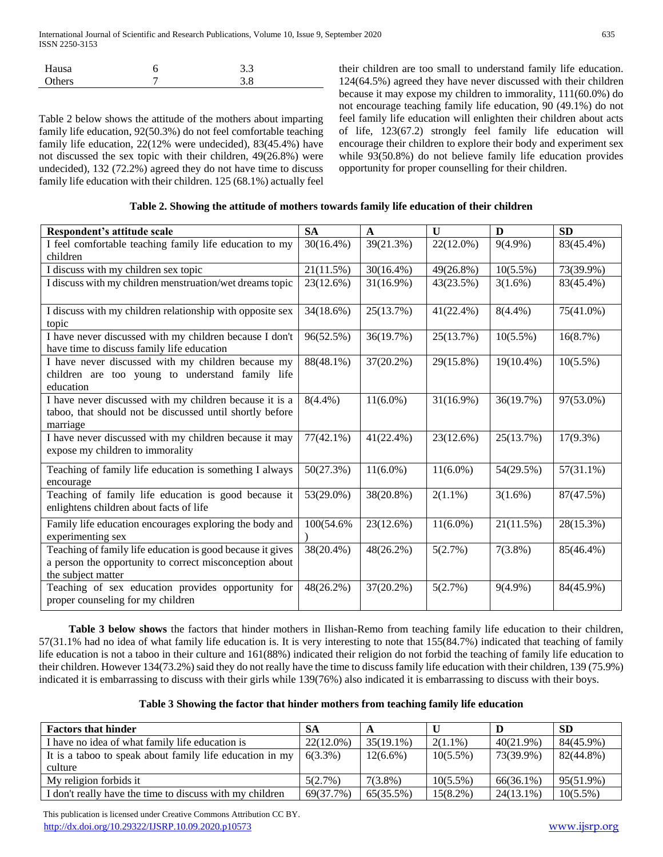| Hausa  | 3.3 |  |
|--------|-----|--|
| Others | 3.8 |  |
|        |     |  |

Table 2 below shows the attitude of the mothers about imparting family life education, 92(50.3%) do not feel comfortable teaching family life education, 22(12% were undecided), 83(45.4%) have not discussed the sex topic with their children, 49(26.8%) were undecided), 132 (72.2%) agreed they do not have time to discuss family life education with their children. 125 (68.1%) actually feel their children are too small to understand family life education. 124(64.5%) agreed they have never discussed with their children because it may expose my children to immorality, 111(60.0%) do not encourage teaching family life education, 90 (49.1%) do not feel family life education will enlighten their children about acts of life, 123(67.2) strongly feel family life education will encourage their children to explore their body and experiment sex while 93(50.8%) do not believe family life education provides opportunity for proper counselling for their children.

| Table 2. Showing the attitude of mothers towards family life education of their children |  |  |  |
|------------------------------------------------------------------------------------------|--|--|--|
|------------------------------------------------------------------------------------------|--|--|--|

| Respondent's attitude scale                                                                                                                 | <b>SA</b>    | $\mathbf{A}$ | $\mathbf{U}$ | D            | <b>SD</b>    |
|---------------------------------------------------------------------------------------------------------------------------------------------|--------------|--------------|--------------|--------------|--------------|
| I feel comfortable teaching family life education to my                                                                                     | $30(16.4\%)$ | 39(21.3%)    | 22(12.0%)    | $9(4.9\%)$   | 83(45.4%)    |
| children                                                                                                                                    |              |              |              |              |              |
| I discuss with my children sex topic                                                                                                        | 21(11.5%)    | $30(16.4\%)$ | 49(26.8%)    | $10(5.5\%)$  | 73(39.9%)    |
| I discuss with my children menstruation/wet dreams topic                                                                                    | 23(12.6%)    | 31(16.9%)    | 43(23.5%)    | $3(1.6\%)$   | 83(45.4%)    |
| I discuss with my children relationship with opposite sex<br>topic                                                                          | 34(18.6%)    | 25(13.7%)    | 41(22.4%)    | $8(4.4\%)$   | 75(41.0%)    |
| I have never discussed with my children because I don't<br>have time to discuss family life education                                       | 96(52.5%)    | 36(19.7%)    | 25(13.7%)    | $10(5.5\%)$  | 16(8.7%)     |
| I have never discussed with my children because my<br>children are too young to understand family life<br>education                         | 88(48.1%)    | $37(20.2\%)$ | 29(15.8%)    | $19(10.4\%)$ | $10(5.5\%)$  |
| I have never discussed with my children because it is a<br>taboo, that should not be discussed until shortly before<br>marriage             | $8(4.4\%)$   | $11(6.0\%)$  | 31(16.9%)    | 36(19.7%)    | 97(53.0%)    |
| I have never discussed with my children because it may<br>expose my children to immorality                                                  | $77(42.1\%)$ | 41(22.4%)    | 23(12.6%)    | 25(13.7%)    | $17(9.3\%)$  |
| Teaching of family life education is something I always<br>encourage                                                                        | 50(27.3%)    | $11(6.0\%)$  | $11(6.0\%)$  | 54(29.5%)    | $57(31.1\%)$ |
| Teaching of family life education is good because it<br>enlightens children about facts of life                                             | 53(29.0%)    | 38(20.8%)    | $2(1.1\%)$   | $3(1.6\%)$   | 87(47.5%)    |
| Family life education encourages exploring the body and<br>experimenting sex                                                                | 100(54.6%    | 23(12.6%)    | $11(6.0\%)$  | 21(11.5%)    | 28(15.3%)    |
| Teaching of family life education is good because it gives<br>a person the opportunity to correct misconception about<br>the subject matter | 38(20.4%)    | 48(26.2%)    | 5(2.7%)      | $7(3.8\%)$   | 85(46.4%)    |
| Teaching of sex education provides opportunity for<br>proper counseling for my children                                                     | $48(26.2\%)$ | 37(20.2%)    | 5(2.7%)      | $9(4.9\%)$   | 84(45.9%)    |

 **Table 3 below shows** the factors that hinder mothers in Ilishan-Remo from teaching family life education to their children, 57(31.1% had no idea of what family life education is. It is very interesting to note that 155(84.7%) indicated that teaching of family life education is not a taboo in their culture and 161(88%) indicated their religion do not forbid the teaching of family life education to their children. However 134(73.2%) said they do not really have the time to discuss family life education with their children, 139 (75.9%) indicated it is embarrassing to discuss with their girls while 139(76%) also indicated it is embarrassing to discuss with their boys.

|  |  | Table 3 Showing the factor that hinder mothers from teaching family life education |
|--|--|------------------------------------------------------------------------------------|
|--|--|------------------------------------------------------------------------------------|

| <b>Factors that hinder</b>                               | -SA          |              |             |              | <b>SD</b>   |
|----------------------------------------------------------|--------------|--------------|-------------|--------------|-------------|
| I have no idea of what family life education is          | $22(12.0\%)$ | $35(19.1\%)$ | $2(1.1\%)$  | $40(21.9\%)$ | 84(45.9%)   |
| It is a taboo to speak about family life education in my | $6(3.3\%)$   | $12(6.6\%)$  | $10(5.5\%)$ | 73(39.9%)    | 82(44.8%)   |
| culture                                                  |              |              |             |              |             |
| My religion forbids it                                   | 5(2.7%)      | $7(3.8\%)$   | $10(5.5\%)$ | 66(36.1%)    | 95(51.9%)   |
| I don't really have the time to discuss with my children | 69(37.7%)    | 65(35.5%)    | $15(8.2\%)$ | $24(13.1\%)$ | $10(5.5\%)$ |

 This publication is licensed under Creative Commons Attribution CC BY. <http://dx.doi.org/10.29322/IJSRP.10.09.2020.p10573> [www.ijsrp.org](http://ijsrp.org/)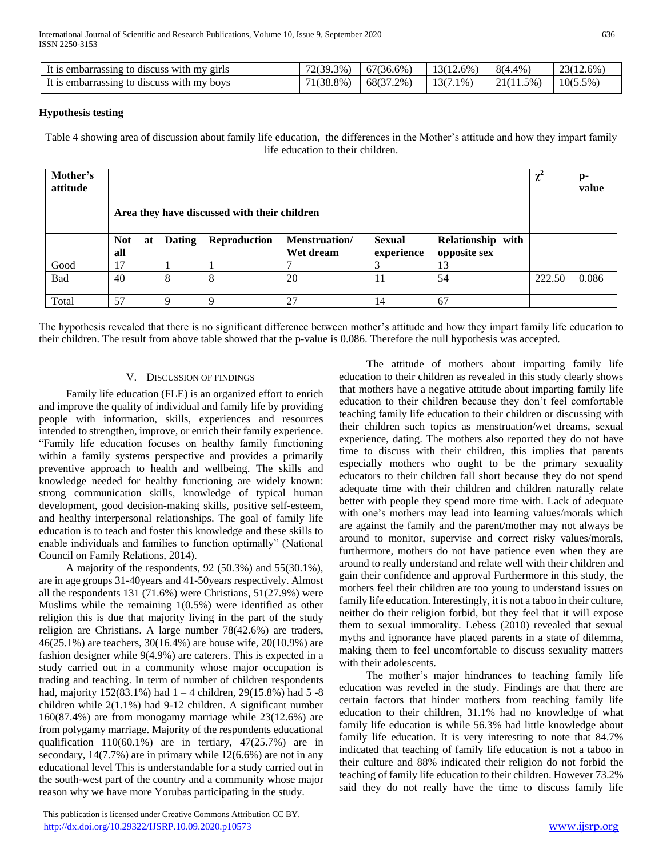| It is embarrassing to discuss with my girls | 72(39.3%) | 67(36.6%) | $13(12.6\%)$ | 8(4.4%)    | 23(12.6%)   |
|---------------------------------------------|-----------|-----------|--------------|------------|-------------|
| It is embarrassing to discuss with my boys  | 71(38.8%) | 68(37.2%) | $13(7.1\%)$  | 121(11.5%) | $10(5.5\%)$ |

# **Hypothesis testing**

Table 4 showing area of discussion about family life education, the differences in the Mother's attitude and how they impart family life education to their children.

| Mother's<br>attitude | Area they have discussed with their children |               |              |                            |                             |                                   | $\chi^2$ | p-<br>value |
|----------------------|----------------------------------------------|---------------|--------------|----------------------------|-----------------------------|-----------------------------------|----------|-------------|
|                      | <b>Not</b><br>at<br>all                      | <b>Dating</b> | Reproduction | Menstruation/<br>Wet dream | <b>Sexual</b><br>experience | Relationship with<br>opposite sex |          |             |
| Good                 | 17                                           |               |              |                            | $\sqrt{2}$                  | 13                                |          |             |
| Bad                  | 40                                           | 8             | 8            | 20                         | 11                          | 54                                | 222.50   | 0.086       |
| Total                | 57                                           | Q             | $\mathbf Q$  | 27                         | 14                          | 67                                |          |             |

The hypothesis revealed that there is no significant difference between mother's attitude and how they impart family life education to their children. The result from above table showed that the p-value is 0.086. Therefore the null hypothesis was accepted.

## V. DISCUSSION OF FINDINGS

 Family life education (FLE) is an organized effort to enrich and improve the quality of individual and family life by providing people with information, skills, experiences and resources intended to strengthen, improve, or enrich their family experience. "Family life education focuses on healthy family functioning within a family systems perspective and provides a primarily preventive approach to health and wellbeing. The skills and knowledge needed for healthy functioning are widely known: strong communication skills, knowledge of typical human development, good decision-making skills, positive self-esteem, and healthy interpersonal relationships. The goal of family life education is to teach and foster this knowledge and these skills to enable individuals and families to function optimally" (National Council on Family Relations, 2014).

 A majority of the respondents, 92 (50.3%) and 55(30.1%), are in age groups 31-40years and 41-50years respectively. Almost all the respondents 131 (71.6%) were Christians, 51(27.9%) were Muslims while the remaining 1(0.5%) were identified as other religion this is due that majority living in the part of the study religion are Christians. A large number 78(42.6%) are traders, 46(25.1%) are teachers, 30(16.4%) are house wife, 20(10.9%) are fashion designer while 9(4.9%) are caterers. This is expected in a study carried out in a community whose major occupation is trading and teaching. In term of number of children respondents had, majority  $152(83.1\%)$  had  $1 - 4$  children,  $29(15.8\%)$  had  $5 - 8$ children while 2(1.1%) had 9-12 children. A significant number 160(87.4%) are from monogamy marriage while 23(12.6%) are from polygamy marriage. Majority of the respondents educational qualification 110(60.1%) are in tertiary, 47(25.7%) are in secondary, 14(7.7%) are in primary while 12(6.6%) are not in any educational level This is understandable for a study carried out in the south-west part of the country and a community whose major reason why we have more Yorubas participating in the study.

 This publication is licensed under Creative Commons Attribution CC BY. <http://dx.doi.org/10.29322/IJSRP.10.09.2020.p10573> [www.ijsrp.org](http://ijsrp.org/)

 **T**he attitude of mothers about imparting family life education to their children as revealed in this study clearly shows that mothers have a negative attitude about imparting family life education to their children because they don't feel comfortable teaching family life education to their children or discussing with their children such topics as menstruation/wet dreams, sexual experience, dating. The mothers also reported they do not have time to discuss with their children, this implies that parents especially mothers who ought to be the primary sexuality educators to their children fall short because they do not spend adequate time with their children and children naturally relate better with people they spend more time with. Lack of adequate with one's mothers may lead into learning values/morals which are against the family and the parent/mother may not always be around to monitor, supervise and correct risky values/morals, furthermore, mothers do not have patience even when they are around to really understand and relate well with their children and gain their confidence and approval Furthermore in this study, the mothers feel their children are too young to understand issues on family life education. Interestingly, it is not a taboo in their culture, neither do their religion forbid, but they feel that it will expose them to sexual immorality. Lebess (2010) revealed that sexual myths and ignorance have placed parents in a state of dilemma, making them to feel uncomfortable to discuss sexuality matters with their adolescents.

 The mother's major hindrances to teaching family life education was reveled in the study. Findings are that there are certain factors that hinder mothers from teaching family life education to their children, 31.1% had no knowledge of what family life education is while 56.3% had little knowledge about family life education. It is very interesting to note that 84.7% indicated that teaching of family life education is not a taboo in their culture and 88% indicated their religion do not forbid the teaching of family life education to their children. However 73.2% said they do not really have the time to discuss family life